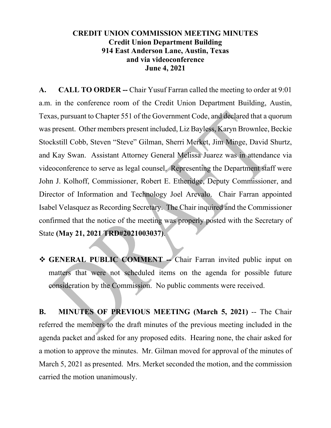# **CREDIT UNION COMMISSION MEETING MINUTES Credit Union Department Building 914 East Anderson Lane, Austin, Texas and via videoconference June 4, 2021**

**A. CALL TO ORDER --** Chair Yusuf Farran called the meeting to order at 9:01 a.m. in the conference room of the Credit Union Department Building, Austin, Texas, pursuant to Chapter 551 of the Government Code, and declared that a quorum was present. Other members present included, Liz Bayless, Karyn Brownlee, Beckie Stockstill Cobb, Steven "Steve" Gilman, Sherri Merket, Jim Minge, David Shurtz, and Kay Swan. Assistant Attorney General Melissa Juarez was in attendance via videoconference to serve as legal counsel. Representing the Department staff were John J. Kolhoff, Commissioner, Robert E. Etheridge, Deputy Commissioner, and Director of Information and Technology Joel Arevalo. Chair Farran appointed Isabel Velasquez as Recording Secretary. The Chair inquired and the Commissioner confirmed that the notice of the meeting was properly posted with the Secretary of State **(May 21, 2021 TRD#2021003037)**.

**GENERAL PUBLIC COMMENT** - Chair Farran invited public input on matters that were not scheduled items on the agenda for possible future consideration by the Commission. No public comments were received.

**B. MINUTES OF PREVIOUS MEETING (March 5, 2021)** -- The Chair referred the members to the draft minutes of the previous meeting included in the agenda packet and asked for any proposed edits. Hearing none, the chair asked for a motion to approve the minutes. Mr. Gilman moved for approval of the minutes of March 5, 2021 as presented. Mrs. Merket seconded the motion, and the commission carried the motion unanimously.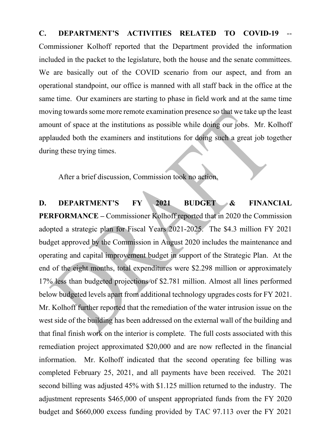C. DEPARTMENT'S ACTIVITIES RELATED TO COVID-19 Commissioner Kolhoff reported that the Department provided the information included in the packet to the legislature, both the house and the senate committees. We are basically out of the COVID scenario from our aspect, and from an operational standpoint, our office is manned with all staff back in the office at the same time. Our examiners are starting to phase in field work and at the same time moving towards some more remote examination presence so that we take up the least amount of space at the institutions as possible while doing our jobs. Mr. Kolhoff applauded both the examiners and institutions for doing such a great job together during these trying times.

After a brief discussion, Commission took no action.

**D. DEPARTMENT'S FY 2021 BUDGET & FINANCIAL PERFORMANCE –** Commissioner Kolhoff reported that in 2020 the Commission adopted a strategic plan for Fiscal Years 2021-2025. The \$4.3 million FY 2021 budget approved by the Commission in August 2020 includes the maintenance and operating and capital improvement budget in support of the Strategic Plan. At the end of the eight months, total expenditures were \$2.298 million or approximately 17% less than budgeted projections of \$2.781 million. Almost all lines performed below budgeted levels apart from additional technology upgrades costs for FY 2021. Mr. Kolhoff further reported that the remediation of the water intrusion issue on the west side of the building has been addressed on the external wall of the building and that final finish work on the interior is complete. The full costs associated with this remediation project approximated \$20,000 and are now reflected in the financial information. Mr. Kolhoff indicated that the second operating fee billing was completed February 25, 2021, and all payments have been received. The 2021 second billing was adjusted 45% with \$1.125 million returned to the industry. The adjustment represents \$465,000 of unspent appropriated funds from the FY 2020 budget and \$660,000 excess funding provided by TAC 97.113 over the FY 2021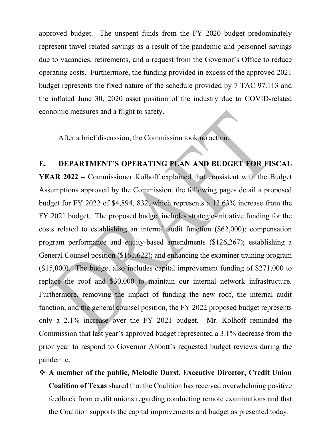approved budget. The unspent funds from the FY 2020 budget predominately represent travel related savings as a result of the pandemic and personnel savings due to vacancies, retirements, and a request from the Governor's Office to reduce operating costs. Furthermore, the funding provided in excess of the approved 2021 budget represents the fixed nature of the schedule provided by 7 TAC 97.113 and the inflated June 30, 2020 asset position of the industry due to COVID-related economic measures and a flight to safety.

After a brief discussion, the Commission took no action.

## **E. DEPARTMENT'S OPERATING PLAN AND BUDGET FOR FISCAL**

**YEAR 2022 –** Commissioner Kolhoff explained that consistent with the Budget Assumptions approved by the Commission, the following pages detail a proposed budget for FY 2022 of \$4,894, 832, which represents a 13.63% increase from the FY 2021 budget. The proposed budget includes strategic-initiative funding for the costs related to establishing an internal audit function (\$62,000); compensation program performance and equity-based amendments (\$126,267); establishing a General Counsel position (\$161,622); and enhancing the examiner training program (\$15,000). The budget also includes capital improvement funding of \$271,000 to replace the roof and \$30,000 to maintain our internal network infrastructure. Furthermore, removing the impact of funding the new roof, the internal audit function, and the general counsel position, the FY 2022 proposed budget represents only a 2.1% increase over the FY 2021 budget. Mr. Kolhoff reminded the Commission that last year's approved budget represented a 3.1% decrease from the prior year to respond to Governor Abbott's requested budget reviews during the pandemic.

 **A member of the public, Melodie Durst, Executive Director, Credit Union Coalition of Texas** shared that the Coalition has received overwhelming positive feedback from credit unions regarding conducting remote examinations and that the Coalition supports the capital improvements and budget as presented today.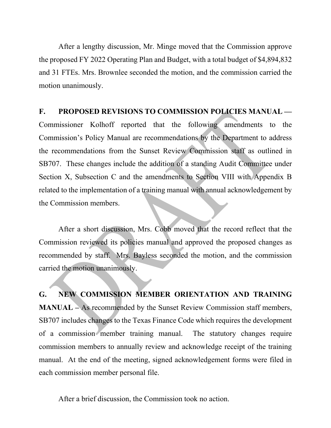After a lengthy discussion, Mr. Minge moved that the Commission approve the proposed FY 2022 Operating Plan and Budget, with a total budget of \$4,894,832 and 31 FTEs. Mrs. Brownlee seconded the motion, and the commission carried the motion unanimously.

## **F. PROPOSED REVISIONS TO COMMISSION POLICIES MANUAL —**

Commissioner Kolhoff reported that the following amendments to the Commission's Policy Manual are recommendations by the Department to address the recommendations from the Sunset Review Commission staff as outlined in SB707. These changes include the addition of a standing Audit Committee under Section X, Subsection C and the amendments to Section VIII with Appendix B related to the implementation of a training manual with annual acknowledgement by the Commission members.

After a short discussion, Mrs. Cobb moved that the record reflect that the Commission reviewed its policies manual and approved the proposed changes as recommended by staff. Mrs. Bayless seconded the motion, and the commission carried the motion unanimously.

**G. NEW COMMISSION MEMBER ORIENTATION AND TRAINING MANUAL –** As recommended by the Sunset Review Commission staff members, SB707 includes changes to the Texas Finance Code which requires the development of a commission member training manual. The statutory changes require commission members to annually review and acknowledge receipt of the training manual. At the end of the meeting, signed acknowledgement forms were filed in each commission member personal file.

After a brief discussion, the Commission took no action.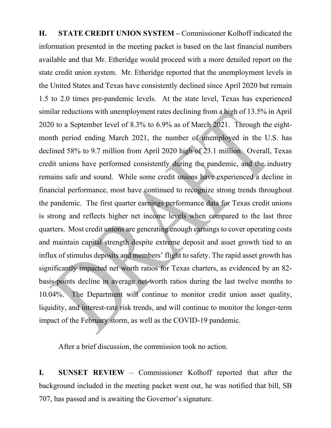**H. STATE CREDIT UNION SYSTEM –** Commissioner Kolhoff indicated the information presented in the meeting packet is based on the last financial numbers available and that Mr. Etheridge would proceed with a more detailed report on the state credit union system. Mr. Etheridge reported that the unemployment levels in the United States and Texas have consistently declined since April 2020 but remain 1.5 to 2.0 times pre-pandemic levels. At the state level, Texas has experienced similar reductions with unemployment rates declining from a high of 13.5% in April 2020 to a September level of 8.3% to 6.9% as of March 2021. Through the eightmonth period ending March 2021, the number of unemployed in the U.S. has declined 58% to 9.7 million from April 2020 high of 23.1 million. Overall, Texas credit unions have performed consistently during the pandemic, and the industry remains safe and sound. While some credit unions have experienced a decline in financial performance, most have continued to recognize strong trends throughout the pandemic. The first quarter earnings performance data for Texas credit unions is strong and reflects higher net income levels when compared to the last three quarters. Most credit unions are generating enough earnings to cover operating costs and maintain capital strength despite extreme deposit and asset growth tied to an influx of stimulus deposits and members' flight to safety. The rapid asset growth has significantly impacted net worth ratios for Texas charters, as evidenced by an 82 basis-points decline in average net-worth ratios during the last twelve months to 10.04%. The Department will continue to monitor credit union asset quality, liquidity, and interest-rate risk trends, and will continue to monitor the longer-term impact of the February storm, as well as the COVID-19 pandemic.

After a brief discussion, the commission took no action.

**I. SUNSET REVIEW** – Commissioner Kolhoff reported that after the background included in the meeting packet went out, he was notified that bill, SB 707, has passed and is awaiting the Governor's signature.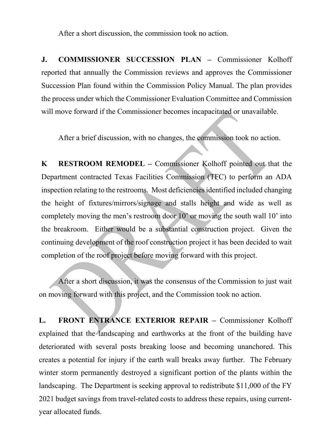After a short discussion, the commission took no action.

**J. COMMISSIONER SUCCESSION PLAN –** Commissioner Kolhoff reported that annually the Commission reviews and approves the Commissioner Succession Plan found within the Commission Policy Manual. The plan provides the process under which the Commissioner Evaluation Committee and Commission will move forward if the Commissioner becomes incapacitated or unavailable.

After a brief discussion, with no changes, the commission took no action.

**K RESTROOM REMODEL –** Commissioner Kolhoff pointed out that the Department contracted Texas Facilities Commission (TFC) to perform an ADA inspection relating to the restrooms. Most deficiencies identified included changing the height of fixtures/mirrors/signage and stalls height and wide as well as completely moving the men's restroom door 10' or moving the south wall 10' into the breakroom. Either would be a substantial construction project. Given the continuing development of the roof construction project it has been decided to wait completion of the roof project before moving forward with this project.

After a short discussion, it was the consensus of the Commission to just wait on moving forward with this project, and the Commission took no action.

**L. FRONT ENTRANCE EXTERIOR REPAIR –** Commissioner Kolhoff explained that the landscaping and earthworks at the front of the building have deteriorated with several posts breaking loose and becoming unanchored. This creates a potential for injury if the earth wall breaks away further. The February winter storm permanently destroyed a significant portion of the plants within the landscaping. The Department is seeking approval to redistribute \$11,000 of the FY 2021 budget savings from travel-related costs to address these repairs, using currentyear allocated funds.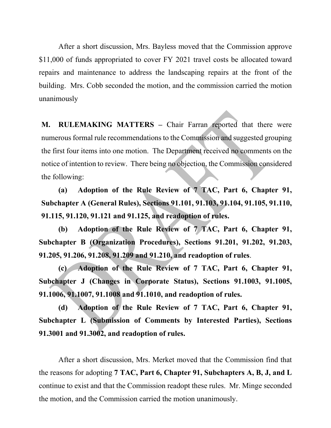After a short discussion, Mrs. Bayless moved that the Commission approve \$11,000 of funds appropriated to cover FY 2021 travel costs be allocated toward repairs and maintenance to address the landscaping repairs at the front of the building. Mrs. Cobb seconded the motion, and the commission carried the motion unanimously

**M. RULEMAKING MATTERS –** Chair Farran reported that there were numerous formal rule recommendations to the Commission and suggested grouping the first four items into one motion. The Department received no comments on the notice of intention to review. There being no objection, the Commission considered the following:

**(a) Adoption of the Rule Review of 7 TAC, Part 6, Chapter 91, Subchapter A (General Rules), Sections 91.101, 91.103, 91.104, 91.105, 91.110, 91.115, 91.120, 91.121 and 91.125, and readoption of rules.**

**(b) Adoption of the Rule Review of 7 TAC, Part 6, Chapter 91, Subchapter B (Organization Procedures), Sections 91.201, 91.202, 91.203, 91.205, 91.206, 91.208, 91.209 and 91.210, and readoption of rules**.

**(c) Adoption of the Rule Review of 7 TAC, Part 6, Chapter 91, Subchapter J (Changes in Corporate Status), Sections 91.1003, 91.1005, 91.1006, 91.1007, 91.1008 and 91.1010, and readoption of rules.**

**(d) Adoption of the Rule Review of 7 TAC, Part 6, Chapter 91, Subchapter L (Submission of Comments by Interested Parties), Sections 91.3001 and 91.3002, and readoption of rules.**

After a short discussion, Mrs. Merket moved that the Commission find that the reasons for adopting **7 TAC, Part 6, Chapter 91, Subchapters A, B, J, and L** continue to exist and that the Commission readopt these rules. Mr. Minge seconded the motion, and the Commission carried the motion unanimously.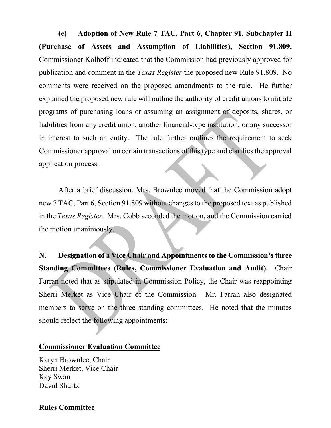**(e) Adoption of New Rule 7 TAC, Part 6, Chapter 91, Subchapter H (Purchase of Assets and Assumption of Liabilities), Section 91.809.** Commissioner Kolhoff indicated that the Commission had previously approved for publication and comment in the *Texas Register* the proposed new Rule 91.809. No comments were received on the proposed amendments to the rule. He further explained the proposed new rule will outline the authority of credit unions to initiate programs of purchasing loans or assuming an assignment of deposits, shares, or liabilities from any credit union, another financial-type institution, or any successor in interest to such an entity. The rule further outlines the requirement to seek Commissioner approval on certain transactions of this type and clarifies the approval application process.

After a brief discussion, Mrs. Brownlee moved that the Commission adopt new 7 TAC, Part 6, Section 91.809 without changes to the proposed text as published in the *Texas Register*. Mrs. Cobb seconded the motion, and the Commission carried the motion unanimously.

**N. Designation of a Vice Chair and Appointments to the Commission's three Standing Committees (Rules, Commissioner Evaluation and Audit).** Chair Farran noted that as stipulated in Commission Policy, the Chair was reappointing Sherri Merket as Vice Chair of the Commission. Mr. Farran also designated members to serve on the three standing committees. He noted that the minutes should reflect the following appointments:

#### **Commissioner Evaluation Committee**

Karyn Brownlee, Chair Sherri Merket, Vice Chair Kay Swan David Shurtz

## **Rules Committee**